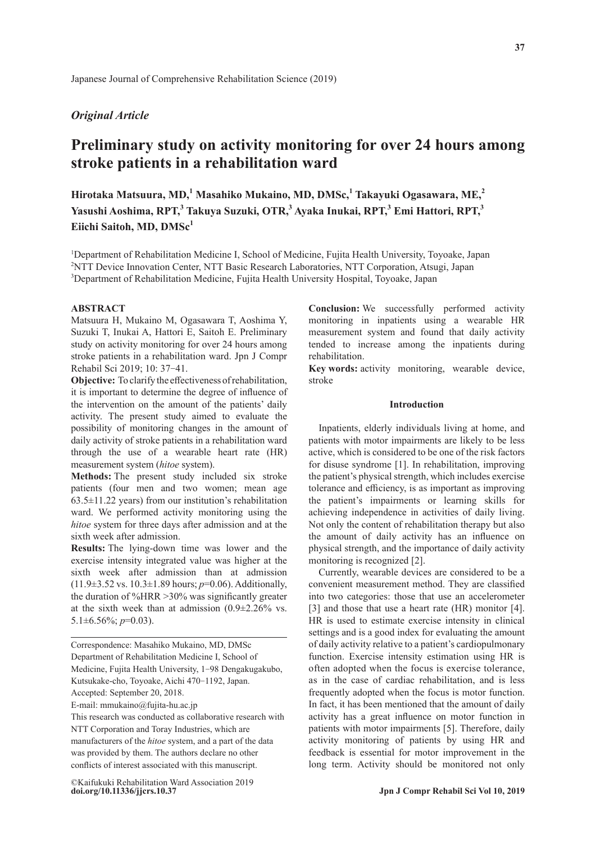# *Original Article*

# **Preliminary study on activity monitoring for over 24 hours among stroke patients in a rehabilitation ward**

**Hirotaka Matsuura, MD,<sup>1</sup> Masahiko Mukaino, MD, DMSc,<sup>1</sup> Takayuki Ogasawara, ME,<sup>2</sup> Yasushi Aoshima, RPT,<sup>3</sup> Takuya Suzuki, OTR,<sup>3</sup> Ayaka Inukai, RPT,3 Emi Hattori, RPT,<sup>3</sup>** Eiichi Saitoh, MD, DMSc<sup>1</sup>

<sup>1</sup>Department of Rehabilitation Medicine I, School of Medicine, Fujita Health University, Toyoake, Japan 2 NTT Device Innovation Center, NTT Basic Research Laboratories, NTT Corporation, Atsugi, Japan 3 Department of Rehabilitation Medicine, Fujita Health University Hospital, Toyoake, Japan

#### **ABSTRACT**

Matsuura H, Mukaino M, Ogasawara T, Aoshima Y, Suzuki T, Inukai A, Hattori E, Saitoh E. Preliminary study on activity monitoring for over 24 hours among stroke patients in a rehabilitation ward. Jpn J Compr Rehabil Sci 2019; 10: 37-41.

**Objective:** To clarify the effectiveness of rehabilitation, it is important to determine the degree of influence of the intervention on the amount of the patients' daily activity. The present study aimed to evaluate the possibility of monitoring changes in the amount of daily activity of stroke patients in a rehabilitation ward through the use of a wearable heart rate (HR) measurement system (*hitoe* system).

**Methods:** The present study included six stroke patients (four men and two women; mean age  $63.5\pm11.22$  years) from our institution's rehabilitation ward. We performed activity monitoring using the *hitoe* system for three days after admission and at the sixth week after admission.

**Results:** The lying-down time was lower and the exercise intensity integrated value was higher at the sixth week after admission than at admission (11.9±3.52 vs. 10.3±1.89 hours; *p*=0.06). Additionally, the duration of %HRR >30% was significantly greater at the sixth week than at admission (0.9±2.26% vs. 5.1±6.56%; *p*=0.03).

Correspondence: Masahiko Mukaino, MD, DMSc Department of Rehabilitation Medicine I, School of Medicine, Fujita Health University, 1-98 Dengakugakubo, Kutsukake-cho, Toyoake, Aichi 470-1192, Japan. Accepted: September 20, 2018.

E-mail: mmukaino@fujita-hu.ac.jp

This research was conducted as collaborative research with NTT Corporation and Toray Industries, which are manufacturers of the *hitoe* system, and a part of the data was provided by them. The authors declare no other conflicts of interest associated with this manuscript.

**doi.org/10.11336/jjcrs.10.37** ©Kaifukuki Rehabilitation Ward Association 2019 **Conclusion:** We successfully performed activity monitoring in inpatients using a wearable HR measurement system and found that daily activity tended to increase among the inpatients during rehabilitation.

**Key words:** activity monitoring, wearable device, stroke

### **Introduction**

Inpatients, elderly individuals living at home, and patients with motor impairments are likely to be less active, which is considered to be one of the risk factors for disuse syndrome [1]. In rehabilitation, improving the patient's physical strength, which includes exercise tolerance and efficiency, is as important as improving the patient's impairments or learning skills for achieving independence in activities of daily living. Not only the content of rehabilitation therapy but also the amount of daily activity has an influence on physical strength, and the importance of daily activity monitoring is recognized [2].

Currently, wearable devices are considered to be a convenient measurement method. They are classified into two categories: those that use an accelerometer [3] and those that use a heart rate (HR) monitor [4]. HR is used to estimate exercise intensity in clinical settings and is a good index for evaluating the amount of daily activity relative to a patient's cardiopulmonary function. Exercise intensity estimation using HR is often adopted when the focus is exercise tolerance, as in the case of cardiac rehabilitation, and is less frequently adopted when the focus is motor function. In fact, it has been mentioned that the amount of daily activity has a great influence on motor function in patients with motor impairments [5]. Therefore, daily activity monitoring of patients by using HR and feedback is essential for motor improvement in the long term. Activity should be monitored not only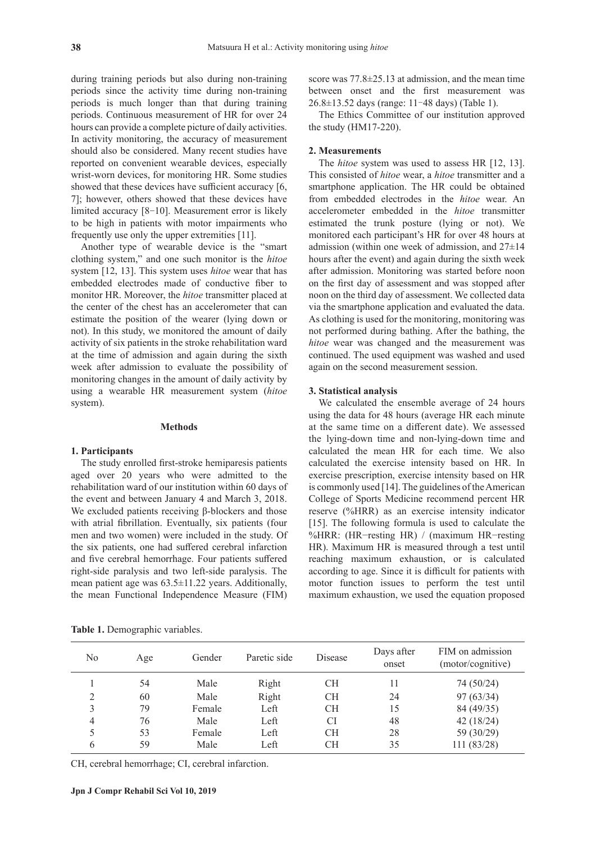during training periods but also during non-training periods since the activity time during non-training periods is much longer than that during training periods. Continuous measurement of HR for over 24 hours can provide a complete picture of daily activities. In activity monitoring, the accuracy of measurement should also be considered. Many recent studies have reported on convenient wearable devices, especially wrist-worn devices, for monitoring HR. Some studies showed that these devices have sufficient accuracy [6, 7]; however, others showed that these devices have limited accuracy [8-10]. Measurement error is likely to be high in patients with motor impairments who frequently use only the upper extremities [11].

Another type of wearable device is the "smart clothing system," and one such monitor is the *hitoe* system [12, 13]. This system uses *hitoe* wear that has embedded electrodes made of conductive fiber to monitor HR. Moreover, the *hitoe* transmitter placed at the center of the chest has an accelerometer that can estimate the position of the wearer (lying down or not). In this study, we monitored the amount of daily activity of six patients in the stroke rehabilitation ward at the time of admission and again during the sixth week after admission to evaluate the possibility of monitoring changes in the amount of daily activity by using a wearable HR measurement system (*hitoe* system).

#### **Methods**

#### **1. Participants**

The study enrolled first-stroke hemiparesis patients aged over 20 years who were admitted to the rehabilitation ward of our institution within 60 days of the event and between January 4 and March 3, 2018. We excluded patients receiving β-blockers and those with atrial fibrillation. Eventually, six patients (four men and two women) were included in the study. Of the six patients, one had suffered cerebral infarction and five cerebral hemorrhage. Four patients suffered right-side paralysis and two left-side paralysis. The mean patient age was 63.5±11.22 years. Additionally, the mean Functional Independence Measure (FIM) score was 77.8±25.13 at admission, and the mean time between onset and the first measurement was 26.8±13.52 days (range: 11–48 days) (Table 1).

The Ethics Committee of our institution approved the study (HM17-220).

### **2. Measurements**

The *hitoe* system was used to assess HR [12, 13]. This consisted of *hitoe* wear, a *hitoe* transmitter and a smartphone application. The HR could be obtained from embedded electrodes in the *hitoe* wear. An accelerometer embedded in the *hitoe* transmitter estimated the trunk posture (lying or not). We monitored each participant's HR for over 48 hours at admission (within one week of admission, and 27±14 hours after the event) and again during the sixth week after admission. Monitoring was started before noon on the first day of assessment and was stopped after noon on the third day of assessment. We collected data via the smartphone application and evaluated the data. As clothing is used for the monitoring, monitoring was not performed during bathing. After the bathing, the *hitoe* wear was changed and the measurement was continued. The used equipment was washed and used again on the second measurement session.

#### **3. Statistical analysis**

We calculated the ensemble average of 24 hours using the data for 48 hours (average HR each minute at the same time on a different date). We assessed the lying-down time and non-lying-down time and calculated the mean HR for each time. We also calculated the exercise intensity based on HR. In exercise prescription, exercise intensity based on HR is commonly used [14]. The guidelines of the American College of Sports Medicine recommend percent HR reserve (%HRR) as an exercise intensity indicator [15]. The following formula is used to calculate the %HRR: (HR−resting HR) / (maximum HR−resting HR). Maximum HR is measured through a test until reaching maximum exhaustion, or is calculated according to age. Since it is difficult for patients with motor function issues to perform the test until maximum exhaustion, we used the equation proposed

| No | Age | Gender | Paretic side | Disease   | Days after<br>onset | FIM on admission<br>(motor/cognitive) |
|----|-----|--------|--------------|-----------|---------------------|---------------------------------------|
|    | 54  | Male   | Right        | CН        | 11                  | 74 (50/24)                            |
| ∍  | 60  | Male   | Right        | <b>CH</b> | 24                  | 97(63/34)                             |
| 3  | 79  | Female | Left         | <b>CH</b> | 15                  | 84 (49/35)                            |
| 4  | 76  | Male   | Left         | CI        | 48                  | 42(18/24)                             |
|    | 53  | Female | Left         | CН        | 28                  | 59 (30/29)                            |
| 6  | 59  | Male   | Left         | СH        | 35                  | 111 (83/28)                           |

**Table 1.** Demographic variables.

CH, cerebral hemorrhage; CI, cerebral infarction.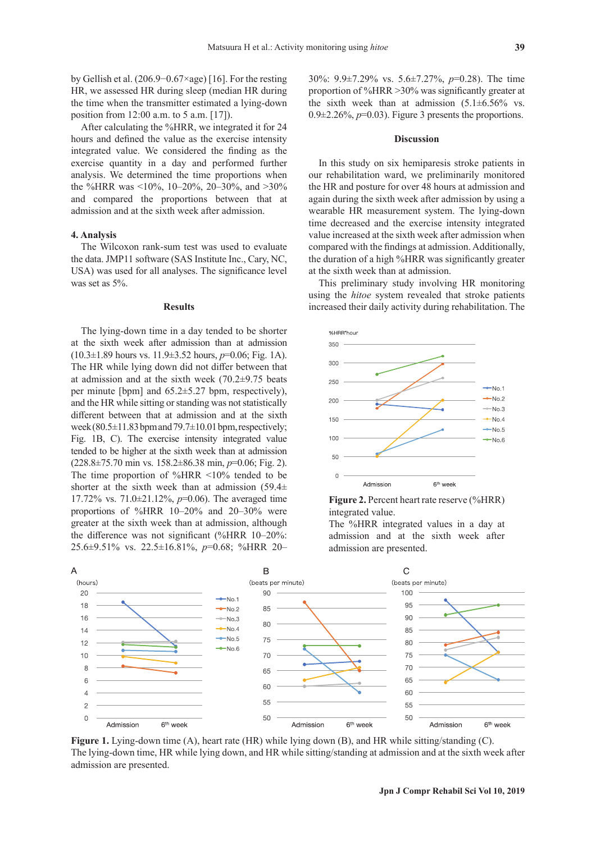by Gellish et al. (206.9−0.67×age) [16]. For the resting HR, we assessed HR during sleep (median HR during the time when the transmitter estimated a lying-down position from 12:00 a.m. to 5 a.m. [17]).

After calculating the %HRR, we integrated it for 24 hours and defined the value as the exercise intensity integrated value. We considered the finding as the exercise quantity in a day and performed further analysis. We determined the time proportions when the %HRR was <10%, 10–20%, 20–30%, and >30% and compared the proportions between that at admission and at the sixth week after admission.

# **4. Analysis**

The Wilcoxon rank-sum test was used to evaluate the data. JMP11 software (SAS Institute Inc., Cary, NC, USA) was used for all analyses. The significance level was set as 5%.

#### **Results**

The lying-down time in a day tended to be shorter at the sixth week after admission than at admission (10.3±1.89 hours vs. 11.9±3.52 hours, *p*=0.06; Fig. 1A). The HR while lying down did not differ between that at admission and at the sixth week (70.2±9.75 beats per minute [bpm] and 65.2±5.27 bpm, respectively), and the HR while sitting or standing was not statistically different between that at admission and at the sixth week (80.5±11.83 bpm and 79.7±10.01 bpm, respectively; Fig. 1B, C). The exercise intensity integrated value tended to be higher at the sixth week than at admission (228.8±75.70 min vs. 158.2±86.38 min, *p*=0.06; Fig. 2). The time proportion of %HRR <10% tended to be shorter at the sixth week than at admission  $(59.4\pm)$ 17.72% vs. 71.0±21.12%, *p*=0.06). The averaged time proportions of %HRR 10–20% and 20–30% were greater at the sixth week than at admission, although the difference was not significant (%HRR 10–20%: 25.6±9.51% vs. 22.5±16.81%, *p*=0.68; %HRR 20–

30%: 9.9±7.29% vs. 5.6±7.27%, *p*=0.28). The time proportion of %HRR >30% was significantly greater at the sixth week than at admission  $(5.1 \pm 6.56\%$  vs.  $0.9\pm2.26\%, p=0.03$ ). Figure 3 presents the proportions.

### **Discussion**

In this study on six hemiparesis stroke patients in our rehabilitation ward, we preliminarily monitored the HR and posture for over 48 hours at admission and again during the sixth week after admission by using a wearable HR measurement system. The lying-down time decreased and the exercise intensity integrated value increased at the sixth week after admission when compared with the findings at admission. Additionally, the duration of a high %HRR was significantly greater at the sixth week than at admission.

This preliminary study involving HR monitoring using the *hitoe* system revealed that stroke patients increased their daily activity during rehabilitation. The





The %HRR integrated values in a day at admission and at the sixth week after admission are presented.



**Figure 1.** Lying-down time (A), heart rate (HR) while lying down (B), and HR while sitting/standing (C). The lying-down time, HR while lying down, and HR while sitting/standing at admission and at the sixth week after admission are presented.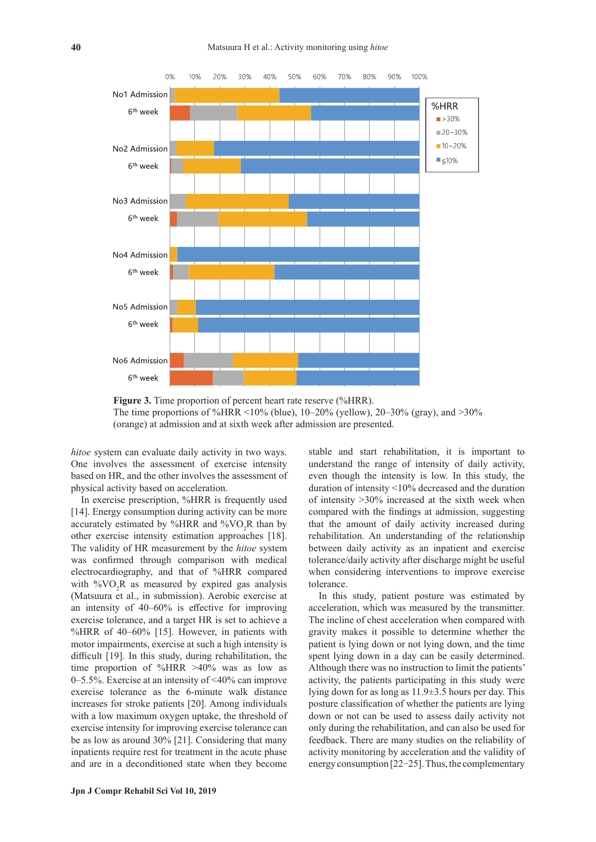



*hitoe* system can evaluate daily activity in two ways. One involves the assessment of exercise intensity based on HR, and the other involves the assessment of physical activity based on acceleration.

In exercise prescription, %HRR is frequently used [14]. Energy consumption during activity can be more accurately estimated by %HRR and % $VO<sub>2</sub>R$  than by other exercise intensity estimation approaches [18]. The validity of HR measurement by the *hitoe* system was confirmed through comparison with medical electrocardiography, and that of %HRR compared with  $\%VO_2R$  as measured by expired gas analysis (Matsuura et al., in submission). Aerobic exercise at an intensity of 40–60% is effective for improving exercise tolerance, and a target HR is set to achieve a %HRR of 40–60% [15]. However, in patients with motor impairments, exercise at such a high intensity is difficult [19]. In this study, during rehabilitation, the time proportion of %HRR >40% was as low as 0–5.5%. Exercise at an intensity of <40% can improve exercise tolerance as the 6-minute walk distance increases for stroke patients [20]. Among individuals with a low maximum oxygen uptake, the threshold of exercise intensity for improving exercise tolerance can be as low as around 30% [21]. Considering that many inpatients require rest for treatment in the acute phase and are in a deconditioned state when they become

stable and start rehabilitation, it is important to understand the range of intensity of daily activity, even though the intensity is low. In this study, the duration of intensity <10% decreased and the duration of intensity >30% increased at the sixth week when compared with the findings at admission, suggesting that the amount of daily activity increased during rehabilitation. An understanding of the relationship between daily activity as an inpatient and exercise tolerance/daily activity after discharge might be useful when considering interventions to improve exercise tolerance.

In this study, patient posture was estimated by acceleration, which was measured by the transmitter. The incline of chest acceleration when compared with gravity makes it possible to determine whether the patient is lying down or not lying down, and the time spent lying down in a day can be easily determined. Although there was no instruction to limit the patients' activity, the patients participating in this study were lying down for as long as 11.9±3.5 hours per day. This posture classification of whether the patients are lying down or not can be used to assess daily activity not only during the rehabilitation, and can also be used for feedback. There are many studies on the reliability of activity monitoring by acceleration and the validity of energy consumption [22-25]. Thus, the complementary